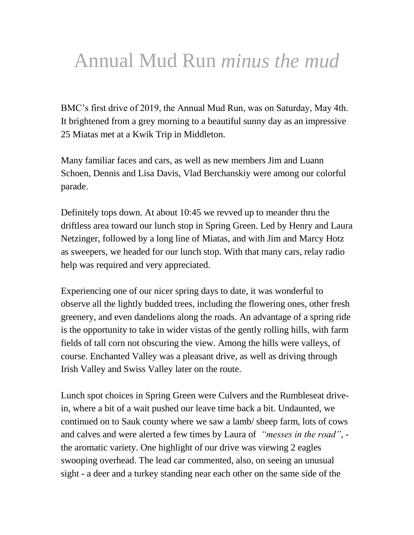## Annual Mud Run *minus the mud*

BMC's first drive of 2019, the Annual Mud Run, was on Saturday, May 4th. It brightened from a grey morning to a beautiful sunny day as an impressive 25 Miatas met at a Kwik Trip in Middleton.

Many familiar faces and cars, as well as new members Jim and Luann Schoen, Dennis and Lisa Davis, Vlad Berchanskiy were among our colorful parade.

Definitely tops down. At about 10:45 we revved up to meander thru the driftless area toward our lunch stop in Spring Green. Led by Henry and Laura Netzinger, followed by a long line of Miatas, and with Jim and Marcy Hotz as sweepers, we headed for our lunch stop. With that many cars, relay radio help was required and very appreciated.

Experiencing one of our nicer spring days to date, it was wonderful to observe all the lightly budded trees, including the flowering ones, other fresh greenery, and even dandelions along the roads. An advantage of a spring ride is the opportunity to take in wider vistas of the gently rolling hills, with farm fields of tall corn not obscuring the view. Among the hills were valleys, of course. Enchanted Valley was a pleasant drive, as well as driving through Irish Valley and Swiss Valley later on the route.

Lunch spot choices in Spring Green were Culvers and the Rumbleseat drivein, where a bit of a wait pushed our leave time back a bit. Undaunted, we continued on to Sauk county where we saw a lamb/ sheep farm, lots of cows and calves and were alerted a few times by Laura of *"messes in the road"*, the aromatic variety. One highlight of our drive was viewing 2 eagles swooping overhead. The lead car commented, also, on seeing an unusual sight - a deer and a turkey standing near each other on the same side of the